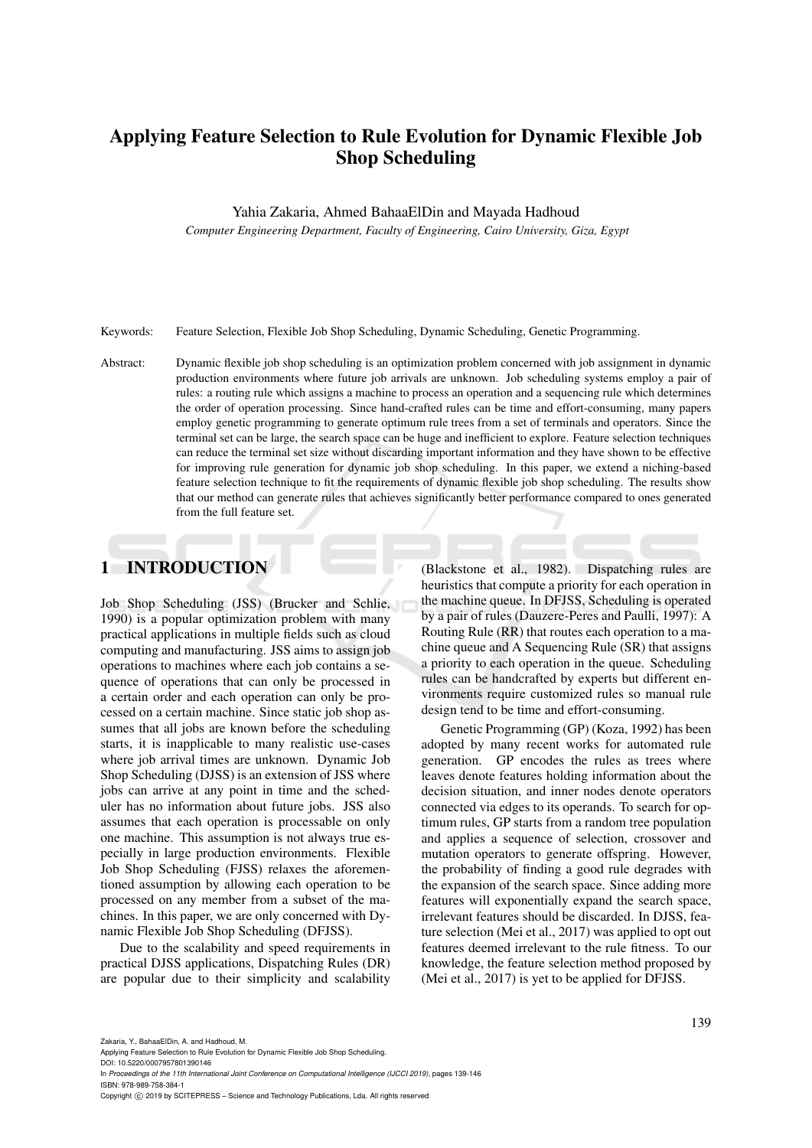# Applying Feature Selection to Rule Evolution for Dynamic Flexible Job Shop Scheduling

#### Yahia Zakaria, Ahmed BahaaElDin and Mayada Hadhoud

*Computer Engineering Department, Faculty of Engineering, Cairo University, Giza, Egypt*

Keywords: Feature Selection, Flexible Job Shop Scheduling, Dynamic Scheduling, Genetic Programming.

Abstract: Dynamic flexible job shop scheduling is an optimization problem concerned with job assignment in dynamic production environments where future job arrivals are unknown. Job scheduling systems employ a pair of rules: a routing rule which assigns a machine to process an operation and a sequencing rule which determines the order of operation processing. Since hand-crafted rules can be time and effort-consuming, many papers employ genetic programming to generate optimum rule trees from a set of terminals and operators. Since the terminal set can be large, the search space can be huge and inefficient to explore. Feature selection techniques can reduce the terminal set size without discarding important information and they have shown to be effective for improving rule generation for dynamic job shop scheduling. In this paper, we extend a niching-based feature selection technique to fit the requirements of dynamic flexible job shop scheduling. The results show that our method can generate rules that achieves significantly better performance compared to ones generated from the full feature set.

# 1 INTRODUCTION

Job Shop Scheduling (JSS) (Brucker and Schlie, 1990) is a popular optimization problem with many practical applications in multiple fields such as cloud computing and manufacturing. JSS aims to assign job operations to machines where each job contains a sequence of operations that can only be processed in a certain order and each operation can only be processed on a certain machine. Since static job shop assumes that all jobs are known before the scheduling starts, it is inapplicable to many realistic use-cases where job arrival times are unknown. Dynamic Job Shop Scheduling (DJSS) is an extension of JSS where jobs can arrive at any point in time and the scheduler has no information about future jobs. JSS also assumes that each operation is processable on only one machine. This assumption is not always true especially in large production environments. Flexible Job Shop Scheduling (FJSS) relaxes the aforementioned assumption by allowing each operation to be processed on any member from a subset of the machines. In this paper, we are only concerned with Dynamic Flexible Job Shop Scheduling (DFJSS).

Due to the scalability and speed requirements in practical DJSS applications, Dispatching Rules (DR) are popular due to their simplicity and scalability

(Blackstone et al., 1982). Dispatching rules are heuristics that compute a priority for each operation in the machine queue. In DFJSS, Scheduling is operated by a pair of rules (Dauzere-Peres and Paulli, 1997): A Routing Rule (RR) that routes each operation to a machine queue and A Sequencing Rule (SR) that assigns a priority to each operation in the queue. Scheduling rules can be handcrafted by experts but different environments require customized rules so manual rule design tend to be time and effort-consuming.

Genetic Programming (GP) (Koza, 1992) has been adopted by many recent works for automated rule generation. GP encodes the rules as trees where leaves denote features holding information about the decision situation, and inner nodes denote operators connected via edges to its operands. To search for optimum rules, GP starts from a random tree population and applies a sequence of selection, crossover and mutation operators to generate offspring. However, the probability of finding a good rule degrades with the expansion of the search space. Since adding more features will exponentially expand the search space, irrelevant features should be discarded. In DJSS, feature selection (Mei et al., 2017) was applied to opt out features deemed irrelevant to the rule fitness. To our knowledge, the feature selection method proposed by (Mei et al., 2017) is yet to be applied for DFJSS.

DOI: 10.5220/0007957801390146

Applying Feature Selection to Rule Evolution for Dynamic Flexible Job Shop Scheduling.

In *Proceedings of the 11th International Joint Conference on Computational Intelligence (IJCCI 2019)*, pages 139-146 ISBN: 978-989-758-384-1

Copyright (C) 2019 by SCITEPRESS - Science and Technology Publications, Lda. All rights reserved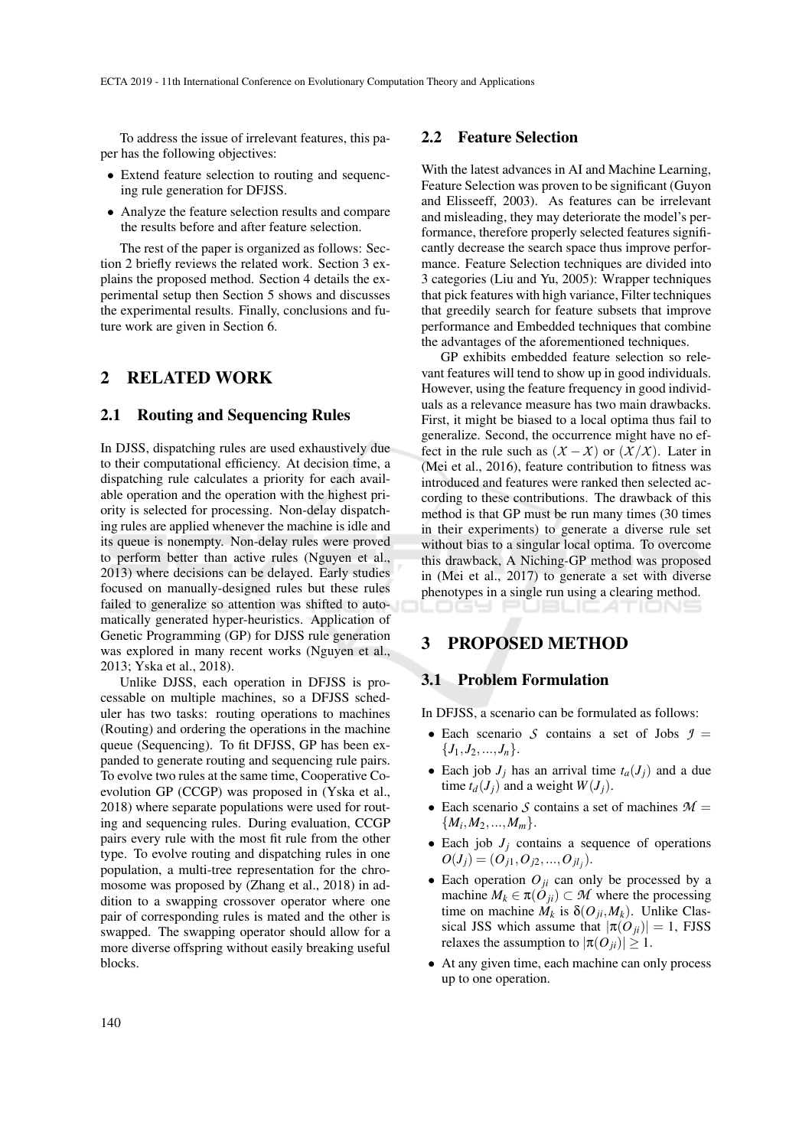To address the issue of irrelevant features, this paper has the following objectives:

- Extend feature selection to routing and sequencing rule generation for DFJSS.
- Analyze the feature selection results and compare the results before and after feature selection.

The rest of the paper is organized as follows: Section 2 briefly reviews the related work. Section 3 explains the proposed method. Section 4 details the experimental setup then Section 5 shows and discusses the experimental results. Finally, conclusions and future work are given in Section 6.

## 2 RELATED WORK

### 2.1 Routing and Sequencing Rules

In DJSS, dispatching rules are used exhaustively due to their computational efficiency. At decision time, a dispatching rule calculates a priority for each available operation and the operation with the highest priority is selected for processing. Non-delay dispatching rules are applied whenever the machine is idle and its queue is nonempty. Non-delay rules were proved to perform better than active rules (Nguyen et al., 2013) where decisions can be delayed. Early studies focused on manually-designed rules but these rules failed to generalize so attention was shifted to automatically generated hyper-heuristics. Application of Genetic Programming (GP) for DJSS rule generation was explored in many recent works (Nguyen et al., 2013; Yska et al., 2018).

Unlike DJSS, each operation in DFJSS is processable on multiple machines, so a DFJSS scheduler has two tasks: routing operations to machines (Routing) and ordering the operations in the machine queue (Sequencing). To fit DFJSS, GP has been expanded to generate routing and sequencing rule pairs. To evolve two rules at the same time, Cooperative Coevolution GP (CCGP) was proposed in (Yska et al., 2018) where separate populations were used for routing and sequencing rules. During evaluation, CCGP pairs every rule with the most fit rule from the other type. To evolve routing and dispatching rules in one population, a multi-tree representation for the chromosome was proposed by (Zhang et al., 2018) in addition to a swapping crossover operator where one pair of corresponding rules is mated and the other is swapped. The swapping operator should allow for a more diverse offspring without easily breaking useful blocks.

### 2.2 Feature Selection

With the latest advances in AI and Machine Learning, Feature Selection was proven to be significant (Guyon and Elisseeff, 2003). As features can be irrelevant and misleading, they may deteriorate the model's performance, therefore properly selected features significantly decrease the search space thus improve performance. Feature Selection techniques are divided into 3 categories (Liu and Yu, 2005): Wrapper techniques that pick features with high variance, Filter techniques that greedily search for feature subsets that improve performance and Embedded techniques that combine the advantages of the aforementioned techniques.

GP exhibits embedded feature selection so relevant features will tend to show up in good individuals. However, using the feature frequency in good individuals as a relevance measure has two main drawbacks. First, it might be biased to a local optima thus fail to generalize. Second, the occurrence might have no effect in the rule such as  $(X - X)$  or  $(X/X)$ . Later in (Mei et al., 2016), feature contribution to fitness was introduced and features were ranked then selected according to these contributions. The drawback of this method is that GP must be run many times (30 times in their experiments) to generate a diverse rule set without bias to a singular local optima. To overcome this drawback, A Niching-GP method was proposed in (Mei et al., 2017) to generate a set with diverse phenotypes in a single run using a clearing method. IGY PUBLICATIONS

## 3 PROPOSED METHOD

#### 3.1 Problem Formulation

In DFJSS, a scenario can be formulated as follows:

- Each scenario *S* contains a set of Jobs  $\mathcal{I} =$  ${J_1, J_2, ..., J_n}.$
- Each job  $J_j$  has an arrival time  $t_a(J_j)$  and a due time  $t_d(J_i)$  and a weight  $W(J_i)$ .
- Each scenario *S* contains a set of machines  $M =$  ${M_i, M_2, ..., M_m}.$
- Each job  $J_i$  contains a sequence of operations  $O(J_j) = (O_{j1}, O_{j2},..., O_{jl_j}).$
- Each operation  $O_{ji}$  can only be processed by a machine  $M_k \in \pi(O_{ji}) \subset M$  where the processing time on machine  $M_k$  is  $\delta(O_{ji}, M_k)$ . Unlike Classical JSS which assume that  $|\pi(O_{ii})| = 1$ , FJSS relaxes the assumption to  $|\pi(O_{ji})| \geq 1$ .
- At any given time, each machine can only process up to one operation.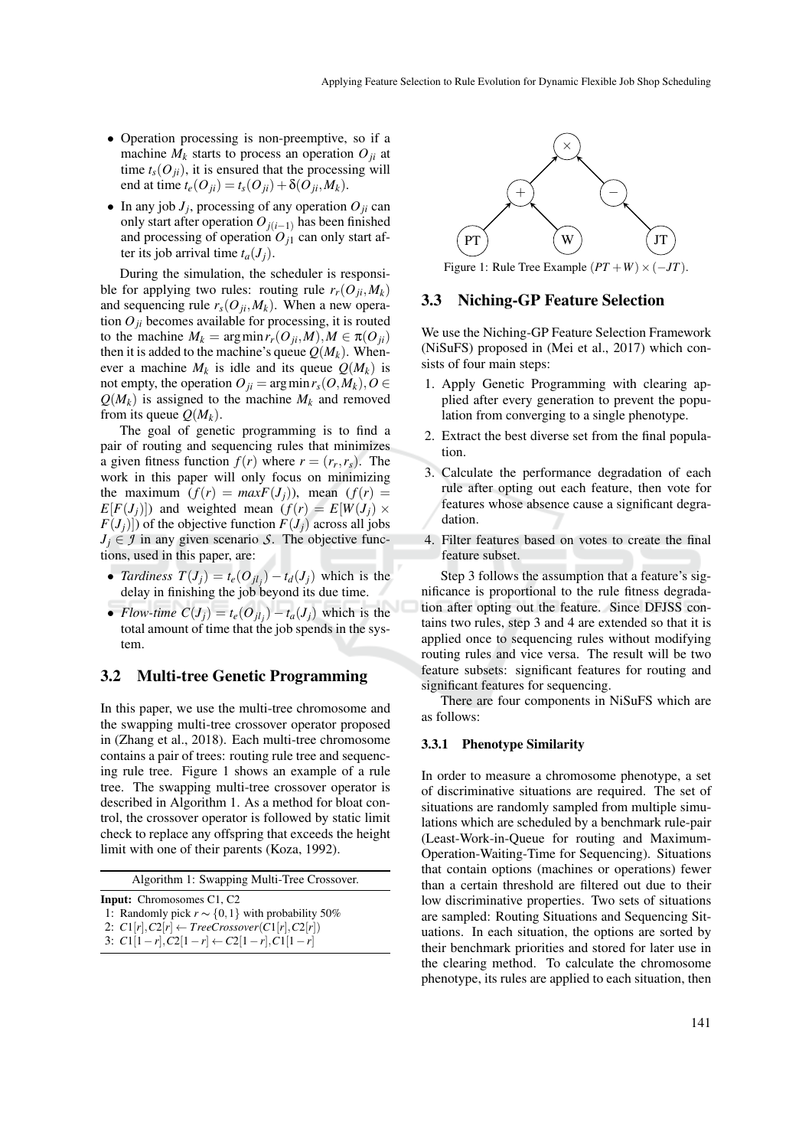- Operation processing is non-preemptive, so if a machine  $M_k$  starts to process an operation  $O_{ji}$  at time  $t_s(O_{ji})$ , it is ensured that the processing will end at time  $t_e(O_{ii}) = t_s(O_{ii}) + \delta(O_{ii}, M_k)$ .
- In any job  $J_j$ , processing of any operation  $O_{ji}$  can only start after operation  $O_j(i-1)$  has been finished and processing of operation  $O_{j1}$  can only start after its job arrival time  $t_a(J_i)$ .

During the simulation, the scheduler is responsible for applying two rules: routing rule  $r_r(O_{ji}, M_k)$ and sequencing rule  $r_s(O_{ji}, M_k)$ . When a new operation  $O_{ij}$  becomes available for processing, it is routed to the machine  $M_k = \arg \min r_r(O_{ji}, M), M \in \pi(O_{ji})$ then it is added to the machine's queue  $Q(M_k)$ . Whenever a machine  $M_k$  is idle and its queue  $Q(M_k)$  is not empty, the operation  $O_{ii} = \arg \min r_s(O, M_k), O \in$  $Q(M_k)$  is assigned to the machine  $M_k$  and removed from its queue  $Q(M_k)$ .

The goal of genetic programming is to find a pair of routing and sequencing rules that minimizes a given fitness function  $f(r)$  where  $r = (r_r, r_s)$ . The work in this paper will only focus on minimizing the maximum  $(f(r) = maxF(J_i))$ , mean  $(f(r) =$  $E[F(J_i)]$ ) and weighted mean  $(f(r) = E[W(J_i) \times$  $F(J_j)$ ]) of the objective function  $F(J_j)$  across all jobs  $J_i \in \mathcal{I}$  in any given scenario *S*. The objective functions, used in this paper, are:

- *Tardiness*  $T(J_j) = t_e(O_{jl_j}) t_d(J_j)$  which is the delay in finishing the job beyond its due time.
- *Flow-time*  $C(J_j) = t_e(O_{jl_j}) t_a(J_j)$  which is the total amount of time that the job spends in the system.

#### 3.2 Multi-tree Genetic Programming

In this paper, we use the multi-tree chromosome and the swapping multi-tree crossover operator proposed in (Zhang et al., 2018). Each multi-tree chromosome contains a pair of trees: routing rule tree and sequencing rule tree. Figure 1 shows an example of a rule tree. The swapping multi-tree crossover operator is described in Algorithm 1. As a method for bloat control, the crossover operator is followed by static limit check to replace any offspring that exceeds the height limit with one of their parents (Koza, 1992).

| Algorithm 1: Swapping Multi-Tree Crossover. |  |  |  |
|---------------------------------------------|--|--|--|
|---------------------------------------------|--|--|--|

|  |  | <b>Input:</b> Chromosomes C1, C2   |   |  |
|--|--|------------------------------------|---|--|
|  |  | $\sim$ $\sim$ $\sim$ $\sim$ $\sim$ | . |  |

```
1: Randomly pick r \sim \{0, 1\} with probability 50%
2: C1[r], C2[r] \leftarrow TreeCrossover(C1[r], C2[r])
```

```
3: C1[1−r],C2[1−r] ← C2[1−r],C1[1−r]
```


Figure 1: Rule Tree Example  $(PT + W) \times (-JT)$ .

#### 3.3 Niching-GP Feature Selection

We use the Niching-GP Feature Selection Framework (NiSuFS) proposed in (Mei et al., 2017) which consists of four main steps:

- 1. Apply Genetic Programming with clearing applied after every generation to prevent the population from converging to a single phenotype.
- 2. Extract the best diverse set from the final population.
- 3. Calculate the performance degradation of each rule after opting out each feature, then vote for features whose absence cause a significant degradation.
- 4. Filter features based on votes to create the final feature subset.

Step 3 follows the assumption that a feature's significance is proportional to the rule fitness degradation after opting out the feature. Since DFJSS contains two rules, step 3 and 4 are extended so that it is applied once to sequencing rules without modifying routing rules and vice versa. The result will be two feature subsets: significant features for routing and significant features for sequencing.

There are four components in NiSuFS which are as follows:

#### 3.3.1 Phenotype Similarity

In order to measure a chromosome phenotype, a set of discriminative situations are required. The set of situations are randomly sampled from multiple simulations which are scheduled by a benchmark rule-pair (Least-Work-in-Queue for routing and Maximum-Operation-Waiting-Time for Sequencing). Situations that contain options (machines or operations) fewer than a certain threshold are filtered out due to their low discriminative properties. Two sets of situations are sampled: Routing Situations and Sequencing Situations. In each situation, the options are sorted by their benchmark priorities and stored for later use in the clearing method. To calculate the chromosome phenotype, its rules are applied to each situation, then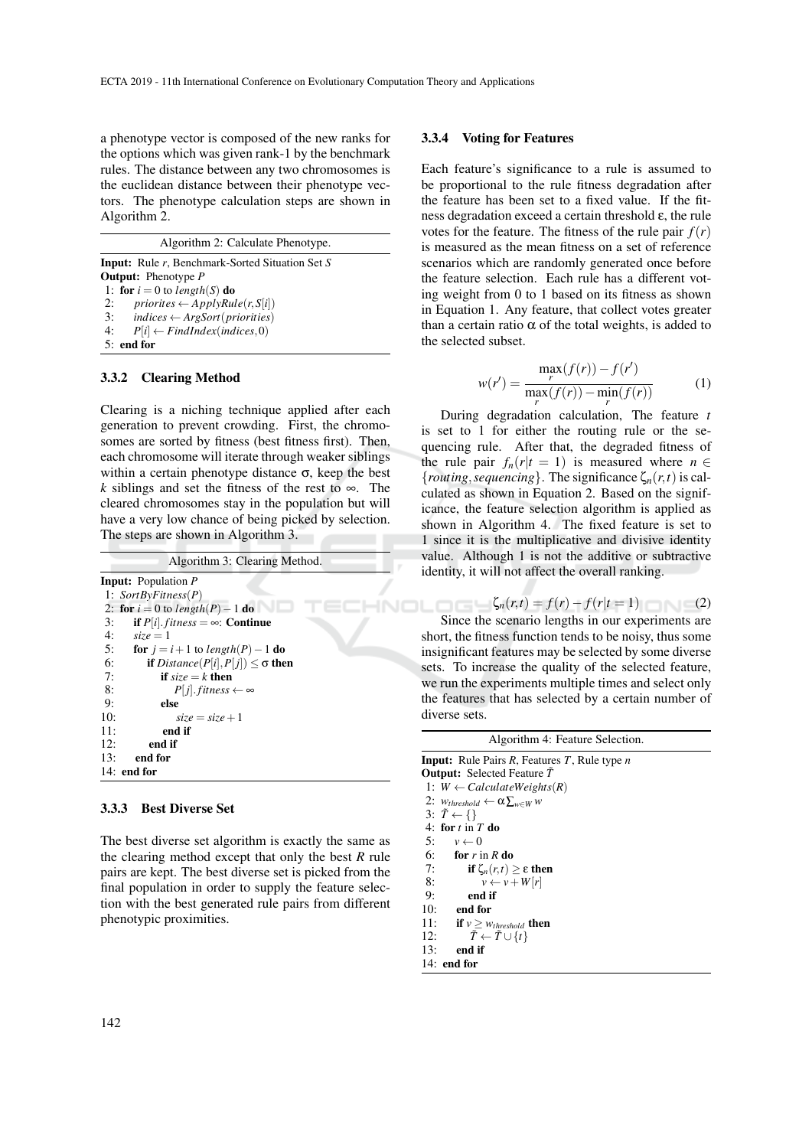a phenotype vector is composed of the new ranks for the options which was given rank-1 by the benchmark rules. The distance between any two chromosomes is the euclidean distance between their phenotype vectors. The phenotype calculation steps are shown in Algorithm 2.

Algorithm 2: Calculate Phenotype.

Input: Rule *r*, Benchmark-Sorted Situation Set *S* Output: Phenotype *P* 1: for  $i = 0$  to *length*(*S*) do 2:  $\text{priorites} \leftarrow ApplyRule(r, S[i])$ 3: *indices* ← *ArgSort*(*priorities*)<br>4:  $P[i] \leftarrow FindIndex(indices 0)$  $P[i] \leftarrow FindIndex(indices, 0)$ 5: end for

#### 3.3.2 Clearing Method

Clearing is a niching technique applied after each generation to prevent crowding. First, the chromosomes are sorted by fitness (best fitness first). Then, each chromosome will iterate through weaker siblings within a certain phenotype distance  $\sigma$ , keep the best *k* siblings and set the fitness of the rest to ∞. The cleared chromosomes stay in the population but will have a very low chance of being picked by selection. The steps are shown in Algorithm 3.

| Algorithm 3: Clearing Method.                                                                          |
|--------------------------------------------------------------------------------------------------------|
| <b>Input:</b> Population P                                                                             |
| 1: $SortByFitness(P)$                                                                                  |
| 2: for $i = 0$ to length(P) – 1 do                                                                     |
| 3:<br><b>if</b> $P[i]$ <i>. fitness</i> = $\infty$ <i>:</i> Continue                                   |
| 4:<br>$size = 1$                                                                                       |
| 5:<br><b>for</b> $i = i + 1$ to length(P) - 1 <b>do</b>                                                |
| 6:<br><b>if</b> <i>Distance</i> ( <i>P</i> [ <i>i</i> ], <i>P</i> [ <i>j</i> ]) < $\sigma$ <b>then</b> |
| 7:<br><b>if</b> size $=k$ then                                                                         |
| 8:<br>$P[j]$ . fitness $\leftarrow \infty$                                                             |
| 9:<br>else                                                                                             |
| 10:<br>$size = size + 1$                                                                               |
| 11:<br>end if                                                                                          |
| 12:<br>end if                                                                                          |
| 13:<br>end for                                                                                         |
| $14:$ end for                                                                                          |

#### 3.3.3 Best Diverse Set

The best diverse set algorithm is exactly the same as the clearing method except that only the best *R* rule pairs are kept. The best diverse set is picked from the final population in order to supply the feature selection with the best generated rule pairs from different phenotypic proximities.

#### 3.3.4 Voting for Features

Each feature's significance to a rule is assumed to be proportional to the rule fitness degradation after the feature has been set to a fixed value. If the fitness degradation exceed a certain threshold ε, the rule votes for the feature. The fitness of the rule pair  $f(r)$ is measured as the mean fitness on a set of reference scenarios which are randomly generated once before the feature selection. Each rule has a different voting weight from 0 to 1 based on its fitness as shown in Equation 1. Any feature, that collect votes greater than a certain ratio  $α$  of the total weights, is added to the selected subset.

$$
w(r') = \frac{\max_{r} (f(r)) - f(r')}{\max_{r} (f(r)) - \min_{r} (f(r))}
$$
 (1)

During degradation calculation, The feature *t* is set to 1 for either the routing rule or the sequencing rule. After that, the degraded fitness of the rule pair  $f_n(r|t=1)$  is measured where  $n \in$  ${frouting, sequenceing}.$  The significance  $\zeta_n(r,t)$  is calculated as shown in Equation 2. Based on the significance, the feature selection algorithm is applied as shown in Algorithm 4. The fixed feature is set to 1 since it is the multiplicative and divisive identity value. Although 1 is not the additive or subtractive identity, it will not affect the overall ranking.

$$
\zeta_n(r,t) = f(r) - f(r|t=1)
$$
 (2)  
Since the scenario lengths in our experiments are  
rt the fitness function tends to be noisy thus some

short, the fitness function tends to be noisy, thus some insignificant features may be selected by some diverse sets. To increase the quality of the selected feature, we run the experiments multiple times and select only the features that has selected by a certain number of diverse sets.

| Algorithm 4: Feature Selection.                       |
|-------------------------------------------------------|
| <b>Input:</b> Rule Pairs R, Features T, Rule type $n$ |
| <b>Output:</b> Selected Feature T                     |
| 1: $W \leftarrow Calculate Weights(R)$                |
| 2: $W_{threshold} \leftarrow \alpha \sum_{w \in W} w$ |
| 3: $\tilde{T} \leftarrow \{\}$                        |
| 4: for $t \in T$ do                                   |
| 5: $v \leftarrow 0$                                   |
| $6:$ for r in R do                                    |
| 7:<br>if $\zeta_n(r,t) > \varepsilon$ then            |
| $v \leftarrow v + W[r]$<br>8:                         |
| 9:<br>end if                                          |
| 10:<br>end for                                        |
| 11:<br><b>if</b> $v \geq w_{threshold}$ then          |
| $\tilde{T} \leftarrow \tilde{T} \cup \{t\}$<br>12:    |
| 13:<br>end if                                         |

```
14: end for
```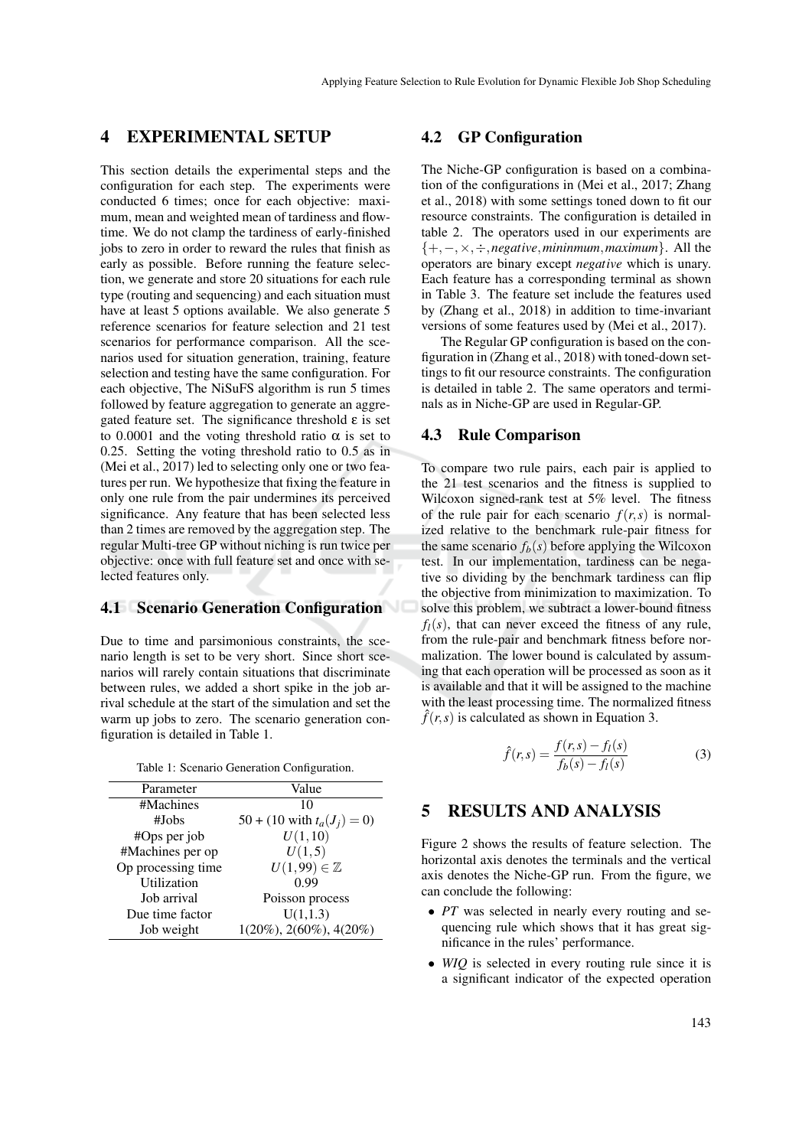## 4 EXPERIMENTAL SETUP

This section details the experimental steps and the configuration for each step. The experiments were conducted 6 times; once for each objective: maximum, mean and weighted mean of tardiness and flowtime. We do not clamp the tardiness of early-finished jobs to zero in order to reward the rules that finish as early as possible. Before running the feature selection, we generate and store 20 situations for each rule type (routing and sequencing) and each situation must have at least 5 options available. We also generate 5 reference scenarios for feature selection and 21 test scenarios for performance comparison. All the scenarios used for situation generation, training, feature selection and testing have the same configuration. For each objective, The NiSuFS algorithm is run 5 times followed by feature aggregation to generate an aggregated feature set. The significance threshold  $\varepsilon$  is set to 0.0001 and the voting threshold ratio  $\alpha$  is set to 0.25. Setting the voting threshold ratio to 0.5 as in (Mei et al., 2017) led to selecting only one or two features per run. We hypothesize that fixing the feature in only one rule from the pair undermines its perceived significance. Any feature that has been selected less than 2 times are removed by the aggregation step. The regular Multi-tree GP without niching is run twice per objective: once with full feature set and once with selected features only.

### 4.1 Scenario Generation Configuration

Due to time and parsimonious constraints, the scenario length is set to be very short. Since short scenarios will rarely contain situations that discriminate between rules, we added a short spike in the job arrival schedule at the start of the simulation and set the warm up jobs to zero. The scenario generation configuration is detailed in Table 1.

Table 1: Scenario Generation Configuration.

| Parameter          | Value                          |
|--------------------|--------------------------------|
| #Machines          | 10                             |
| #Jobs              | 50 + (10 with $t_a(J_i) = 0$ ) |
| #Ops per job       | U(1, 10)                       |
| #Machines per op   | U(1,5)                         |
| Op processing time | $U(1,99) \in \mathbb{Z}$       |
| Utilization        | 0.99                           |
| Job arrival        | Poisson process                |
| Due time factor    | U(1,1.3)                       |
| Job weight         | $1(20\%), 2(60\%), 4(20\%)$    |

#### 4.2 GP Configuration

The Niche-GP configuration is based on a combination of the configurations in (Mei et al., 2017; Zhang et al., 2018) with some settings toned down to fit our resource constraints. The configuration is detailed in table 2. The operators used in our experiments are {+,−,×,÷,*negative*,*mininmum*,*maximum*}. All the operators are binary except *negative* which is unary. Each feature has a corresponding terminal as shown in Table 3. The feature set include the features used by (Zhang et al., 2018) in addition to time-invariant versions of some features used by (Mei et al., 2017).

The Regular GP configuration is based on the configuration in (Zhang et al., 2018) with toned-down settings to fit our resource constraints. The configuration is detailed in table 2. The same operators and terminals as in Niche-GP are used in Regular-GP.

### 4.3 Rule Comparison

To compare two rule pairs, each pair is applied to the 21 test scenarios and the fitness is supplied to Wilcoxon signed-rank test at 5% level. The fitness of the rule pair for each scenario  $f(r, s)$  is normalized relative to the benchmark rule-pair fitness for the same scenario  $f_b(s)$  before applying the Wilcoxon test. In our implementation, tardiness can be negative so dividing by the benchmark tardiness can flip the objective from minimization to maximization. To solve this problem, we subtract a lower-bound fitness  $f_l(s)$ , that can never exceed the fitness of any rule. from the rule-pair and benchmark fitness before normalization. The lower bound is calculated by assuming that each operation will be processed as soon as it is available and that it will be assigned to the machine with the least processing time. The normalized fitness  $\hat{f}(r,s)$  is calculated as shown in Equation 3.

$$
\hat{f}(r,s) = \frac{f(r,s) - f_l(s)}{f_b(s) - f_l(s)}
$$
(3)

# 5 RESULTS AND ANALYSIS

Figure 2 shows the results of feature selection. The horizontal axis denotes the terminals and the vertical axis denotes the Niche-GP run. From the figure, we can conclude the following:

- *PT* was selected in nearly every routing and sequencing rule which shows that it has great significance in the rules' performance.
- *WIQ* is selected in every routing rule since it is a significant indicator of the expected operation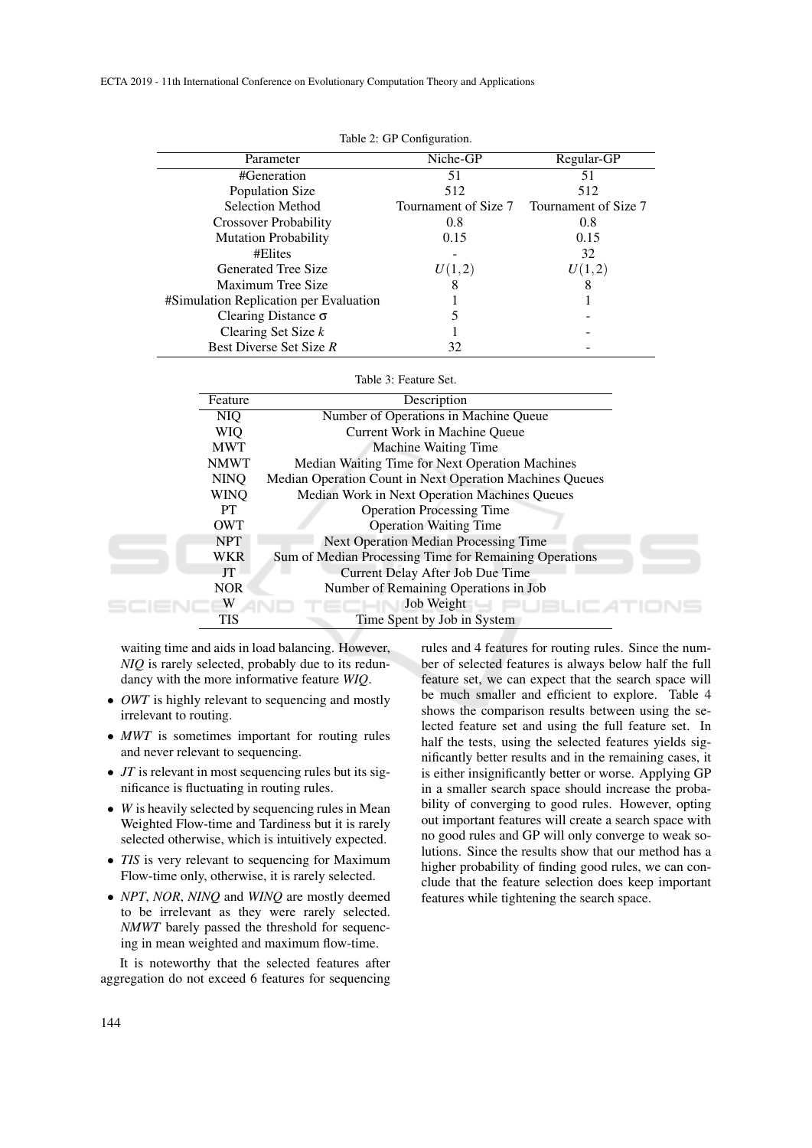| Parameter                              | Niche-GP             | Regular-GP           |  |  |  |  |  |
|----------------------------------------|----------------------|----------------------|--|--|--|--|--|
| #Generation                            | 51                   | 51                   |  |  |  |  |  |
| Population Size                        | 512                  | 512                  |  |  |  |  |  |
| Selection Method                       | Tournament of Size 7 | Tournament of Size 7 |  |  |  |  |  |
| <b>Crossover Probability</b>           | 0.8                  | 0.8                  |  |  |  |  |  |
| <b>Mutation Probability</b>            | 0.15                 | 0.15                 |  |  |  |  |  |
| #Elites                                |                      | 32                   |  |  |  |  |  |
| Generated Tree Size                    | U(1,2)               | U(1,2)               |  |  |  |  |  |
| Maximum Tree Size                      |                      |                      |  |  |  |  |  |
| #Simulation Replication per Evaluation |                      |                      |  |  |  |  |  |
| Clearing Distance $\sigma$             |                      |                      |  |  |  |  |  |
| Clearing Set Size $k$                  |                      |                      |  |  |  |  |  |
| Best Diverse Set Size R                | 32                   |                      |  |  |  |  |  |

| Table 2: GP Configuration. |  |  |  |
|----------------------------|--|--|--|
|----------------------------|--|--|--|

#### Table 3: Feature Set.

| Feature     | Description                                              |  |
|-------------|----------------------------------------------------------|--|
| NIO         | Number of Operations in Machine Queue                    |  |
| <b>WIQ</b>  | Current Work in Machine Oueue                            |  |
| <b>MWT</b>  | <b>Machine Waiting Time</b>                              |  |
| <b>NMWT</b> | Median Waiting Time for Next Operation Machines          |  |
| <b>NINO</b> | Median Operation Count in Next Operation Machines Queues |  |
| WINO        | Median Work in Next Operation Machines Queues            |  |
| <b>PT</b>   | <b>Operation Processing Time</b>                         |  |
| <b>OWT</b>  | <b>Operation Waiting Time</b>                            |  |
| <b>NPT</b>  | <b>Next Operation Median Processing Time</b>             |  |
| <b>WKR</b>  | Sum of Median Processing Time for Remaining Operations   |  |
| JT          | Current Delay After Job Due Time                         |  |
| <b>NOR</b>  | Number of Remaining Operations in Job                    |  |
|             | Job Weight                                               |  |
| TIS         | Time Spent by Job in System                              |  |

waiting time and aids in load balancing. However, *NIQ* is rarely selected, probably due to its redundancy with the more informative feature *WIQ*.

- *OWT* is highly relevant to sequencing and mostly irrelevant to routing.
- *MWT* is sometimes important for routing rules and never relevant to sequencing.
- *JT* is relevant in most sequencing rules but its significance is fluctuating in routing rules.
- *W* is heavily selected by sequencing rules in Mean Weighted Flow-time and Tardiness but it is rarely selected otherwise, which is intuitively expected.
- *TIS* is very relevant to sequencing for Maximum Flow-time only, otherwise, it is rarely selected.
- *NPT*, *NOR*, *NINQ* and *WINQ* are mostly deemed to be irrelevant as they were rarely selected. *NMWT* barely passed the threshold for sequencing in mean weighted and maximum flow-time.

It is noteworthy that the selected features after aggregation do not exceed 6 features for sequencing rules and 4 features for routing rules. Since the number of selected features is always below half the full feature set, we can expect that the search space will be much smaller and efficient to explore. Table 4 shows the comparison results between using the selected feature set and using the full feature set. In half the tests, using the selected features yields significantly better results and in the remaining cases, it is either insignificantly better or worse. Applying GP in a smaller search space should increase the probability of converging to good rules. However, opting out important features will create a search space with no good rules and GP will only converge to weak solutions. Since the results show that our method has a higher probability of finding good rules, we can conclude that the feature selection does keep important features while tightening the search space.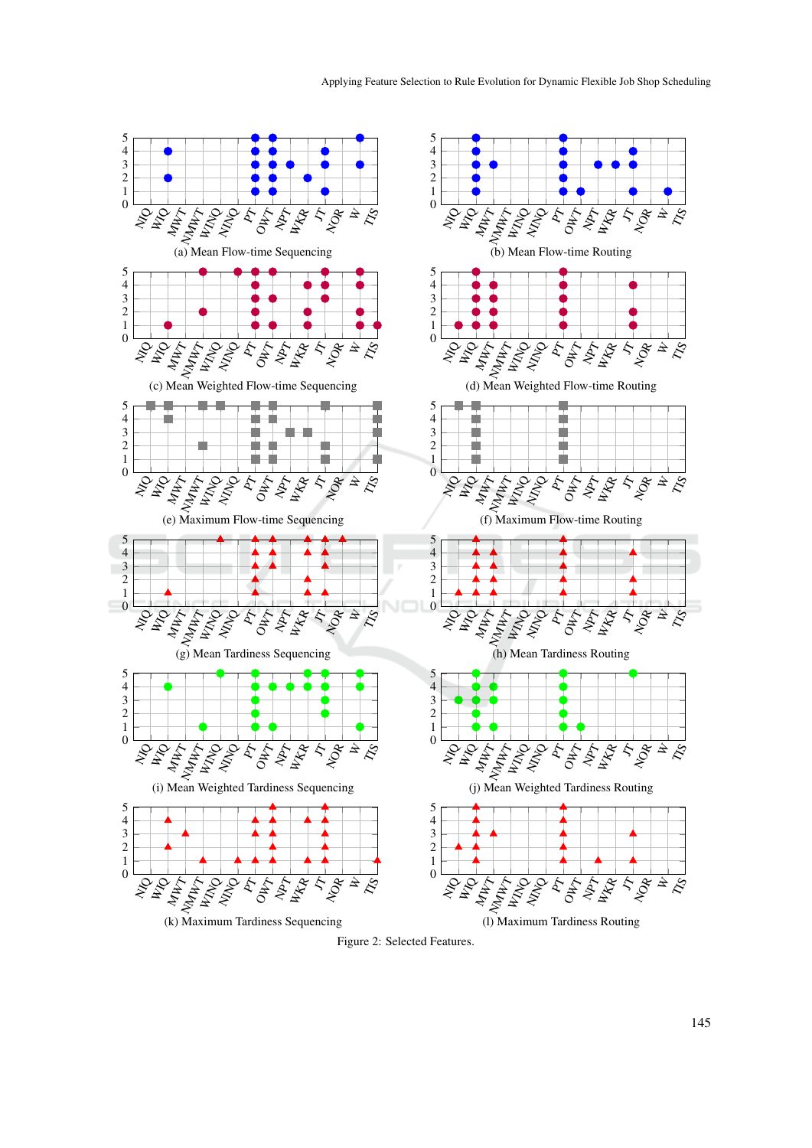

Figure 2: Selected Features.